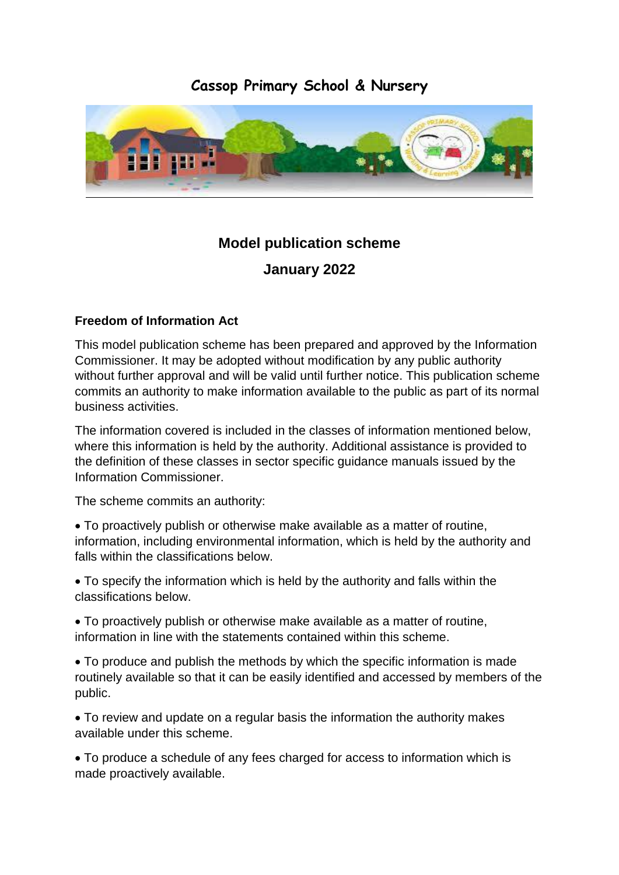# **Cassop Primary School & Nursery**



# **Model publication scheme**

**January 2022**

# **Freedom of Information Act**

This model publication scheme has been prepared and approved by the Information Commissioner. It may be adopted without modification by any public authority without further approval and will be valid until further notice. This publication scheme commits an authority to make information available to the public as part of its normal business activities.

The information covered is included in the classes of information mentioned below, where this information is held by the authority. Additional assistance is provided to the definition of these classes in sector specific guidance manuals issued by the Information Commissioner.

The scheme commits an authority:

 To proactively publish or otherwise make available as a matter of routine, information, including environmental information, which is held by the authority and falls within the classifications below.

 To specify the information which is held by the authority and falls within the classifications below.

 To proactively publish or otherwise make available as a matter of routine, information in line with the statements contained within this scheme.

 To produce and publish the methods by which the specific information is made routinely available so that it can be easily identified and accessed by members of the public.

 To review and update on a regular basis the information the authority makes available under this scheme.

 To produce a schedule of any fees charged for access to information which is made proactively available.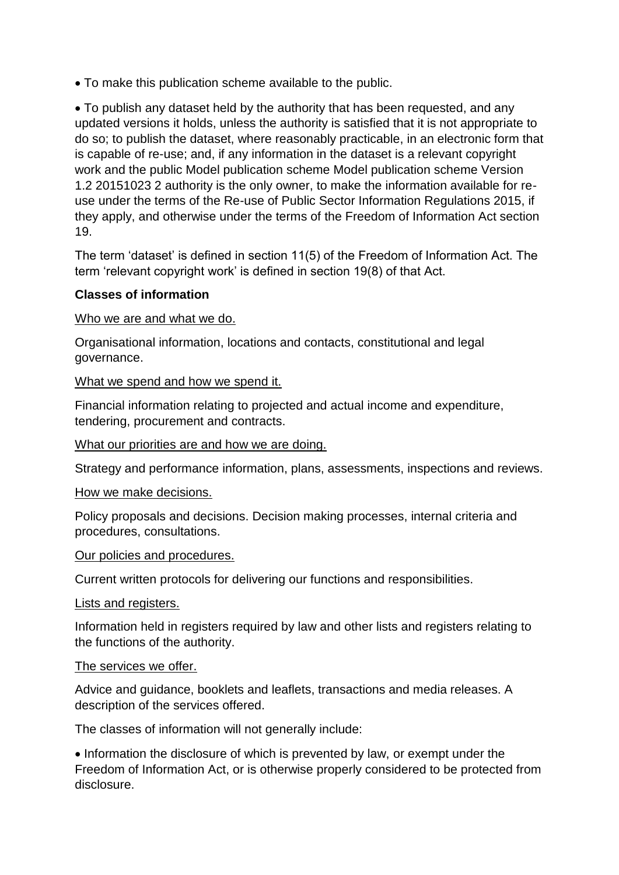To make this publication scheme available to the public.

 To publish any dataset held by the authority that has been requested, and any updated versions it holds, unless the authority is satisfied that it is not appropriate to do so; to publish the dataset, where reasonably practicable, in an electronic form that is capable of re-use; and, if any information in the dataset is a relevant copyright work and the public Model publication scheme Model publication scheme Version 1.2 20151023 2 authority is the only owner, to make the information available for reuse under the terms of the Re-use of Public Sector Information Regulations 2015, if they apply, and otherwise under the terms of the Freedom of Information Act section 19.

The term 'dataset' is defined in section 11(5) of the Freedom of Information Act. The term 'relevant copyright work' is defined in section 19(8) of that Act.

## **Classes of information**

Who we are and what we do.

Organisational information, locations and contacts, constitutional and legal governance.

What we spend and how we spend it.

Financial information relating to projected and actual income and expenditure, tendering, procurement and contracts.

What our priorities are and how we are doing.

Strategy and performance information, plans, assessments, inspections and reviews.

How we make decisions.

Policy proposals and decisions. Decision making processes, internal criteria and procedures, consultations.

#### Our policies and procedures.

Current written protocols for delivering our functions and responsibilities.

Lists and registers.

Information held in registers required by law and other lists and registers relating to the functions of the authority.

### The services we offer.

Advice and guidance, booklets and leaflets, transactions and media releases. A description of the services offered.

The classes of information will not generally include:

• Information the disclosure of which is prevented by law, or exempt under the Freedom of Information Act, or is otherwise properly considered to be protected from disclosure.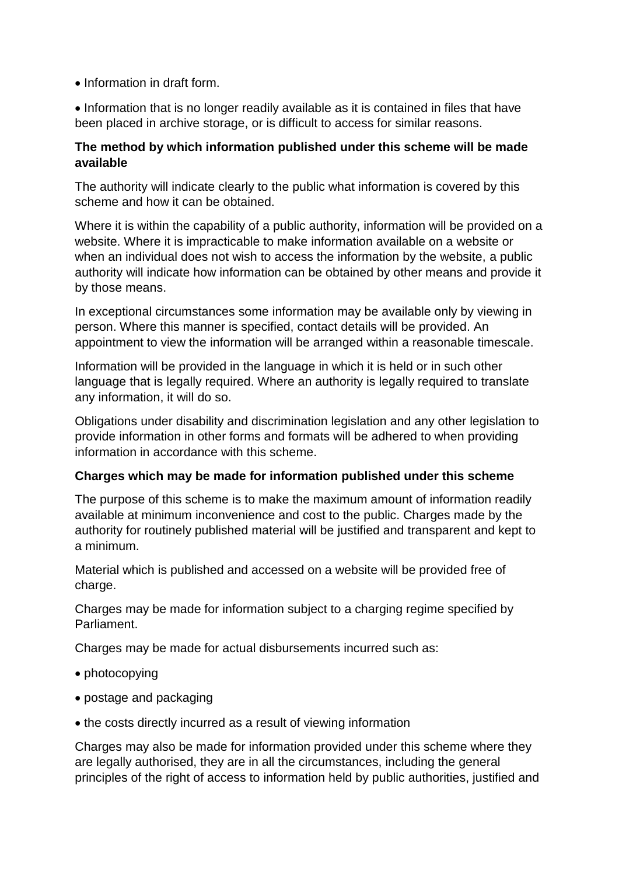• Information in draft form.

• Information that is no longer readily available as it is contained in files that have been placed in archive storage, or is difficult to access for similar reasons.

### **The method by which information published under this scheme will be made available**

The authority will indicate clearly to the public what information is covered by this scheme and how it can be obtained.

Where it is within the capability of a public authority, information will be provided on a website. Where it is impracticable to make information available on a website or when an individual does not wish to access the information by the website, a public authority will indicate how information can be obtained by other means and provide it by those means.

In exceptional circumstances some information may be available only by viewing in person. Where this manner is specified, contact details will be provided. An appointment to view the information will be arranged within a reasonable timescale.

Information will be provided in the language in which it is held or in such other language that is legally required. Where an authority is legally required to translate any information, it will do so.

Obligations under disability and discrimination legislation and any other legislation to provide information in other forms and formats will be adhered to when providing information in accordance with this scheme.

# **Charges which may be made for information published under this scheme**

The purpose of this scheme is to make the maximum amount of information readily available at minimum inconvenience and cost to the public. Charges made by the authority for routinely published material will be justified and transparent and kept to a minimum.

Material which is published and accessed on a website will be provided free of charge.

Charges may be made for information subject to a charging regime specified by Parliament.

Charges may be made for actual disbursements incurred such as:

- photocopying
- postage and packaging
- the costs directly incurred as a result of viewing information

Charges may also be made for information provided under this scheme where they are legally authorised, they are in all the circumstances, including the general principles of the right of access to information held by public authorities, justified and